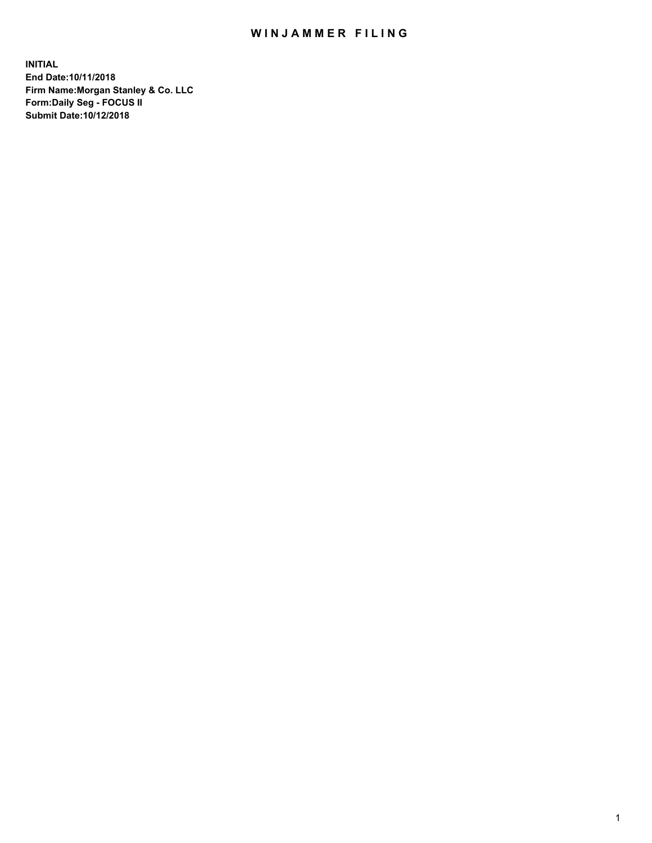## WIN JAMMER FILING

**INITIAL End Date:10/11/2018 Firm Name:Morgan Stanley & Co. LLC Form:Daily Seg - FOCUS II Submit Date:10/12/2018**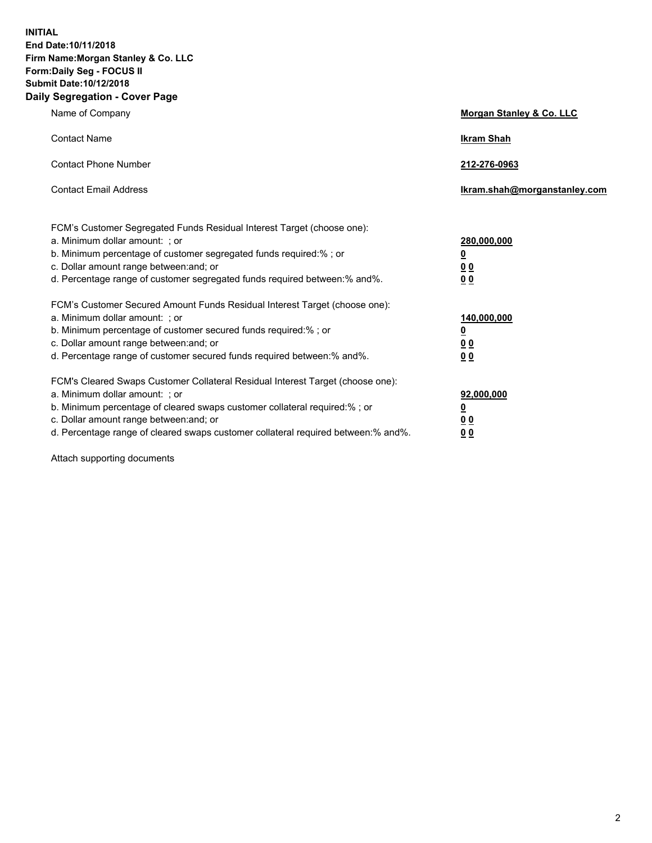**INITIAL End Date:10/11/2018 Firm Name:Morgan Stanley & Co. LLC Form:Daily Seg - FOCUS II Submit Date:10/12/2018 Daily Segregation - Cover Page**

| Name of Company                                                                   | Morgan Stanley & Co. LLC     |
|-----------------------------------------------------------------------------------|------------------------------|
| <b>Contact Name</b>                                                               | <b>Ikram Shah</b>            |
| <b>Contact Phone Number</b>                                                       | 212-276-0963                 |
| <b>Contact Email Address</b>                                                      | Ikram.shah@morganstanley.com |
| FCM's Customer Segregated Funds Residual Interest Target (choose one):            |                              |
| a. Minimum dollar amount: ; or                                                    | 280,000,000                  |
| b. Minimum percentage of customer segregated funds required:% ; or                | <u>0</u>                     |
| c. Dollar amount range between: and; or                                           | <u>00</u>                    |
| d. Percentage range of customer segregated funds required between:% and%.         | 0 <sub>0</sub>               |
| FCM's Customer Secured Amount Funds Residual Interest Target (choose one):        |                              |
| a. Minimum dollar amount: ; or                                                    | 140,000,000                  |
| b. Minimum percentage of customer secured funds required:%; or                    | <u>0</u>                     |
| c. Dollar amount range between: and; or                                           | <u>00</u>                    |
| d. Percentage range of customer secured funds required between:% and%.            | 00                           |
| FCM's Cleared Swaps Customer Collateral Residual Interest Target (choose one):    |                              |
| a. Minimum dollar amount: ; or                                                    | 92,000,000                   |
| b. Minimum percentage of cleared swaps customer collateral required:% ; or        | <u>0</u>                     |
| c. Dollar amount range between: and; or                                           | 0 Q                          |
| d. Percentage range of cleared swaps customer collateral required between:% and%. | 00                           |

Attach supporting documents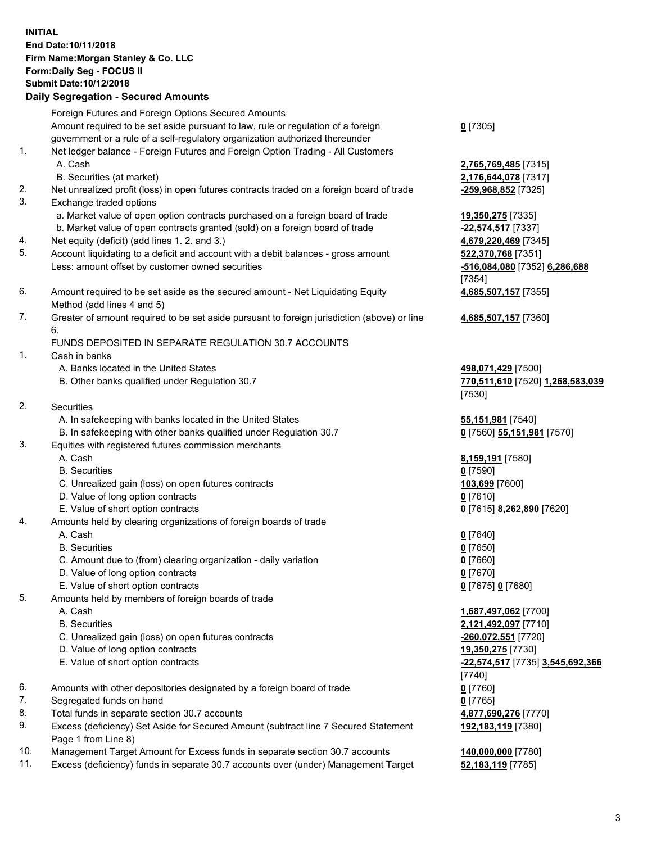## **INITIAL End Date:10/11/2018 Firm Name:Morgan Stanley & Co. LLC Form:Daily Seg - FOCUS II Submit Date:10/12/2018**

**Daily Segregation - Secured Amounts** Foreign Futures and Foreign Options Secured Amounts Amount required to be set aside pursuant to law, rule or regulation of a foreign government or a rule of a self-regulatory organization authorized thereunder 1. Net ledger balance - Foreign Futures and Foreign Option Trading - All Customers A. Cash **2,765,769,485** [7315] B. Securities (at market) **2,176,644,078** [7317] 2. Net unrealized profit (loss) in open futures contracts traded on a foreign board of trade **-259,968,852** [7325] 3. Exchange traded options a. Market value of open option contracts purchased on a foreign board of trade **19,350,275** [7335] b. Market value of open contracts granted (sold) on a foreign board of trade **-22,574,517** [7337] 4. Net equity (deficit) (add lines 1. 2. and 3.) **4,679,220,469** [7345] 5. Account liquidating to a deficit and account with a debit balances - gross amount **522,370,768** [7351] Less: amount offset by customer owned securities **-516,084,080** [7352] **6,286,688** 6. Amount required to be set aside as the secured amount - Net Liquidating Equity Method (add lines 4 and 5) 7. Greater of amount required to be set aside pursuant to foreign jurisdiction (above) or line 6. FUNDS DEPOSITED IN SEPARATE REGULATION 30.7 ACCOUNTS 1. Cash in banks A. Banks located in the United States **498,071,429** [7500] B. Other banks qualified under Regulation 30.7 **770,511,610** [7520] **1,268,583,039** 2. Securities A. In safekeeping with banks located in the United States **55,151,981** [7540] B. In safekeeping with other banks qualified under Regulation 30.7 **0** [7560] **55,151,981** [7570] 3. Equities with registered futures commission merchants A. Cash **8,159,191** [7580] B. Securities **0** [7590] C. Unrealized gain (loss) on open futures contracts **103,699** [7600] D. Value of long option contracts **0** [7610] E. Value of short option contracts **0** [7615] **8,262,890** [7620] 4. Amounts held by clearing organizations of foreign boards of trade A. Cash **0** [7640] B. Securities **0** [7650] C. Amount due to (from) clearing organization - daily variation **0** [7660] D. Value of long option contracts **0** [7670] E. Value of short option contracts **0** [7675] **0** [7680] 5. Amounts held by members of foreign boards of trade

- -
- C. Unrealized gain (loss) on open futures contracts **-260,072,551** [7720]
- D. Value of long option contracts **19,350,275** [7730]
- E. Value of short option contracts **-22,574,517** [7735] **3,545,692,366**
- 6. Amounts with other depositories designated by a foreign board of trade **0** [7760]
- 7. Segregated funds on hand **0** [7765]
- 8. Total funds in separate section 30.7 accounts **4,877,690,276** [7770]
- 9. Excess (deficiency) Set Aside for Secured Amount (subtract line 7 Secured Statement Page 1 from Line 8)
- 10. Management Target Amount for Excess funds in separate section 30.7 accounts **140,000,000** [7780]
- 11. Excess (deficiency) funds in separate 30.7 accounts over (under) Management Target **52,183,119** [7785]

**0** [7305]

[7354] **4,685,507,157** [7355]

**4,685,507,157** [7360]

[7530]

 A. Cash **1,687,497,062** [7700] B. Securities **2,121,492,097** [7710] [7740] **192,183,119** [7380]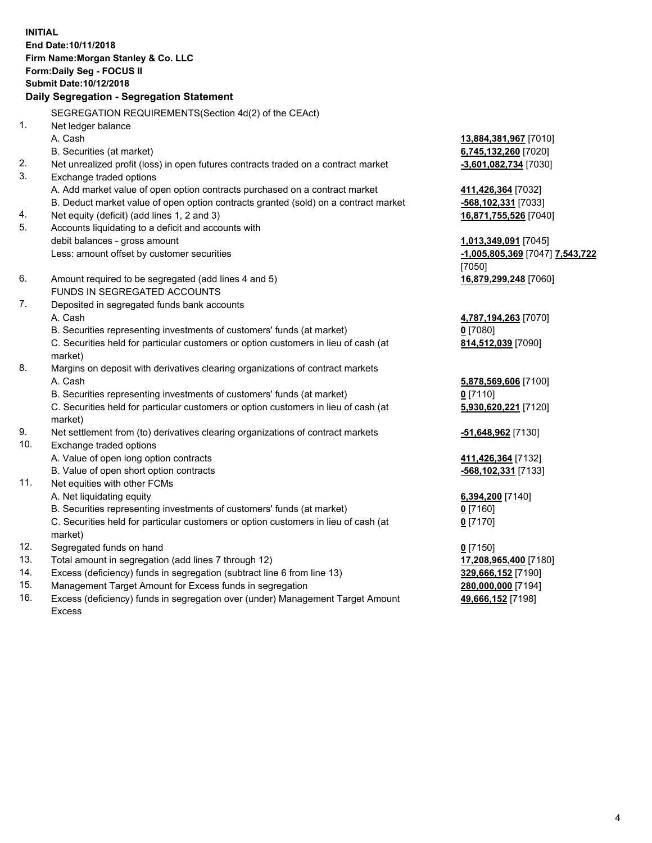**INITIAL End Date:10/11/2018 Firm Name:Morgan Stanley & Co. LLC Form:Daily Seg - FOCUS II Submit Date:10/12/2018 Daily Segregation - Segregation Statement** SEGREGATION REQUIREMENTS(Section 4d(2) of the CEAct) 1. Net ledger balance A. Cash **13,884,381,967** [7010] B. Securities (at market) **6,745,132,260** [7020] 2. Net unrealized profit (loss) in open futures contracts traded on a contract market **-3,601,082,734** [7030] 3. Exchange traded options A. Add market value of open option contracts purchased on a contract market **411,426,364** [7032] B. Deduct market value of open option contracts granted (sold) on a contract market **-568,102,331** [7033] 4. Net equity (deficit) (add lines 1, 2 and 3) **16,871,755,526** [7040] 5. Accounts liquidating to a deficit and accounts with debit balances - gross amount **1,013,349,091** [7045] Less: amount offset by customer securities **-1,005,805,369** [7047] **7,543,722** [7050] 6. Amount required to be segregated (add lines 4 and 5) **16,879,299,248** [7060] FUNDS IN SEGREGATED ACCOUNTS 7. Deposited in segregated funds bank accounts A. Cash **4,787,194,263** [7070] B. Securities representing investments of customers' funds (at market) **0** [7080] C. Securities held for particular customers or option customers in lieu of cash (at market) **814,512,039** [7090] 8. Margins on deposit with derivatives clearing organizations of contract markets A. Cash **5,878,569,606** [7100] B. Securities representing investments of customers' funds (at market) **0** [7110] C. Securities held for particular customers or option customers in lieu of cash (at market) **5,930,620,221** [7120] 9. Net settlement from (to) derivatives clearing organizations of contract markets **-51,648,962** [7130] 10. Exchange traded options A. Value of open long option contracts **411,426,364** [7132] B. Value of open short option contracts **-568,102,331** [7133] 11. Net equities with other FCMs A. Net liquidating equity **6,394,200** [7140] B. Securities representing investments of customers' funds (at market) **0** [7160] C. Securities held for particular customers or option customers in lieu of cash (at market) **0** [7170] 12. Segregated funds on hand **0** [7150] 13. Total amount in segregation (add lines 7 through 12) **17,208,965,400** [7180] 14. Excess (deficiency) funds in segregation (subtract line 6 from line 13) **329,666,152** [7190]

- 15. Management Target Amount for Excess funds in segregation **280,000,000** [7194]
- 16. Excess (deficiency) funds in segregation over (under) Management Target Amount Excess

**49,666,152** [7198]